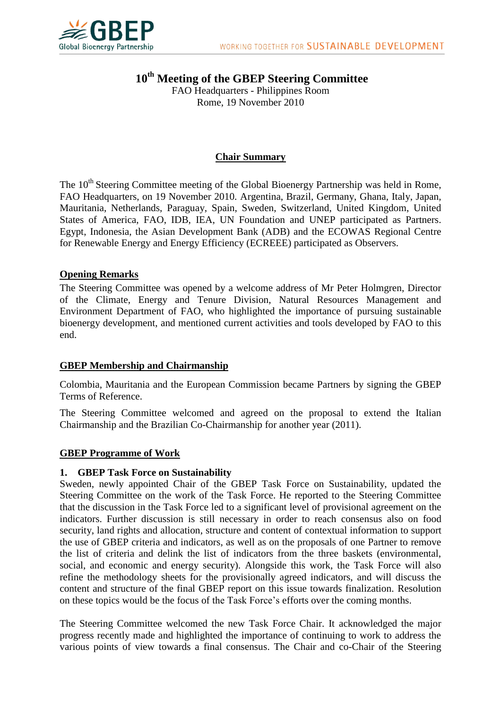

**10th Meeting of the GBEP Steering Committee** FAO Headquarters - Philippines Room Rome, 19 November 2010

### **Chair Summary**

The 10<sup>th</sup> Steering Committee meeting of the Global Bioenergy Partnership was held in Rome, FAO Headquarters, on 19 November 2010. Argentina, Brazil, Germany, Ghana, Italy, Japan, Mauritania, Netherlands, Paraguay, Spain, Sweden, Switzerland, United Kingdom, United States of America, FAO, IDB, IEA, UN Foundation and UNEP participated as Partners. Egypt, Indonesia, the Asian Development Bank (ADB) and the ECOWAS Regional Centre for Renewable Energy and Energy Efficiency (ECREEE) participated as Observers.

#### **Opening Remarks**

The Steering Committee was opened by a welcome address of Mr Peter Holmgren, Director of the Climate, Energy and Tenure Division, Natural Resources Management and Environment Department of FAO, who highlighted the importance of pursuing sustainable bioenergy development, and mentioned current activities and tools developed by FAO to this end.

#### **GBEP Membership and Chairmanship**

Colombia, Mauritania and the European Commission became Partners by signing the GBEP Terms of Reference.

The Steering Committee welcomed and agreed on the proposal to extend the Italian Chairmanship and the Brazilian Co-Chairmanship for another year (2011).

#### **GBEP Programme of Work**

#### **1. GBEP Task Force on Sustainability**

Sweden, newly appointed Chair of the GBEP Task Force on Sustainability, updated the Steering Committee on the work of the Task Force. He reported to the Steering Committee that the discussion in the Task Force led to a significant level of provisional agreement on the indicators. Further discussion is still necessary in order to reach consensus also on food security, land rights and allocation, structure and content of contextual information to support the use of GBEP criteria and indicators, as well as on the proposals of one Partner to remove the list of criteria and delink the list of indicators from the three baskets (environmental, social, and economic and energy security). Alongside this work, the Task Force will also refine the methodology sheets for the provisionally agreed indicators, and will discuss the content and structure of the final GBEP report on this issue towards finalization. Resolution on these topics would be the focus of the Task Force's efforts over the coming months.

The Steering Committee welcomed the new Task Force Chair. It acknowledged the major progress recently made and highlighted the importance of continuing to work to address the various points of view towards a final consensus. The Chair and co-Chair of the Steering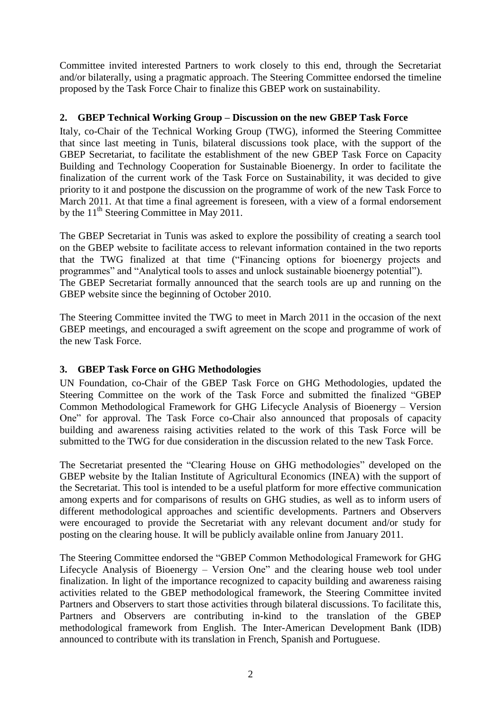Committee invited interested Partners to work closely to this end, through the Secretariat and/or bilaterally, using a pragmatic approach. The Steering Committee endorsed the timeline proposed by the Task Force Chair to finalize this GBEP work on sustainability.

# **2. GBEP Technical Working Group – Discussion on the new GBEP Task Force**

Italy, co-Chair of the Technical Working Group (TWG), informed the Steering Committee that since last meeting in Tunis, bilateral discussions took place, with the support of the GBEP Secretariat, to facilitate the establishment of the new GBEP Task Force on Capacity Building and Technology Cooperation for Sustainable Bioenergy. In order to facilitate the finalization of the current work of the Task Force on Sustainability, it was decided to give priority to it and postpone the discussion on the programme of work of the new Task Force to March 2011. At that time a final agreement is foreseen, with a view of a formal endorsement by the  $11<sup>th</sup>$  Steering Committee in May 2011.

The GBEP Secretariat in Tunis was asked to explore the possibility of creating a search tool on the GBEP website to facilitate access to relevant information contained in the two reports that the TWG finalized at that time ("Financing options for bioenergy projects and programmes" and "Analytical tools to asses and unlock sustainable bioenergy potential"). The GBEP Secretariat formally announced that the search tools are up and running on the GBEP website since the beginning of October 2010.

The Steering Committee invited the TWG to meet in March 2011 in the occasion of the next GBEP meetings, and encouraged a swift agreement on the scope and programme of work of the new Task Force.

# **3. GBEP Task Force on GHG Methodologies**

UN Foundation, co-Chair of the GBEP Task Force on GHG Methodologies, updated the Steering Committee on the work of the Task Force and submitted the finalized "GBEP Common Methodological Framework [for GHG Lifecycle Analysis of Bioenergy](http://www.globalbioenergy.org/fileadmin/user_upload/gbep/docs/2009_events/7th_SC_NY/GBEP_GHG_report_2306.pdf) – Version One" for approval. The Task Force co-Chair also announced that proposals of capacity building and awareness raising activities related to the work of this Task Force will be submitted to the TWG for due consideration in the discussion related to the new Task Force.

The Secretariat presented the "Clearing House on GHG methodologies" developed on the GBEP website by the Italian Institute of Agricultural Economics (INEA) with the support of the Secretariat. This tool is intended to be a useful platform for more effective communication among experts and for comparisons of results on GHG studies, as well as to inform users of different methodological approaches and scientific developments. Partners and Observers were encouraged to provide the Secretariat with any relevant document and/or study for posting on the clearing house. It will be publicly available online from January 2011.

The Steering Committee endorsed the "GBEP Common Methodological Framework [for GHG](http://www.globalbioenergy.org/fileadmin/user_upload/gbep/docs/2009_events/7th_SC_NY/GBEP_GHG_report_2306.pdf)  [Lifecycle Analysis of Bioenergy](http://www.globalbioenergy.org/fileadmin/user_upload/gbep/docs/2009_events/7th_SC_NY/GBEP_GHG_report_2306.pdf) – Version One" and the clearing house web tool under finalization. In light of the importance recognized to capacity building and awareness raising activities related to the GBEP methodological framework, the Steering Committee invited Partners and Observers to start those activities through bilateral discussions. To facilitate this, Partners and Observers are contributing in-kind to the translation of the GBEP methodological framework from English. The Inter-American Development Bank (IDB) announced to contribute with its translation in French, Spanish and Portuguese.